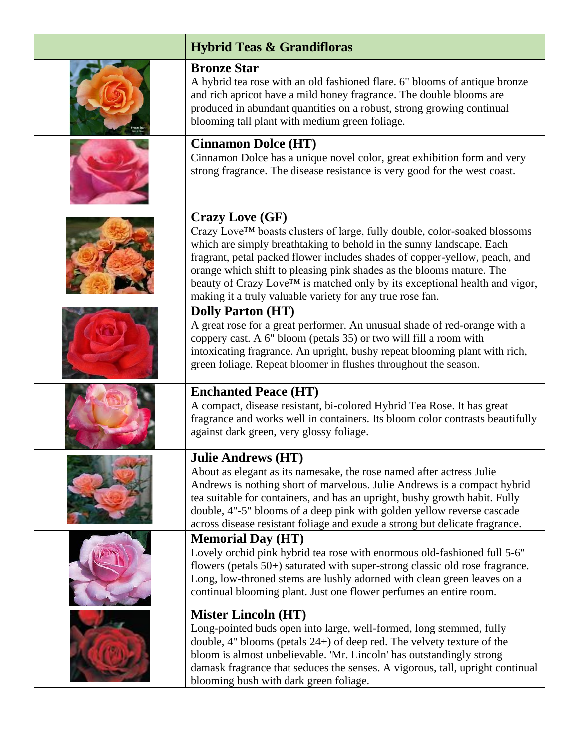| <b>Hybrid Teas &amp; Grandifloras</b>                                                                                                                                                                                                                                                                                                                                                                                                                                                     |
|-------------------------------------------------------------------------------------------------------------------------------------------------------------------------------------------------------------------------------------------------------------------------------------------------------------------------------------------------------------------------------------------------------------------------------------------------------------------------------------------|
| <b>Bronze Star</b><br>A hybrid tea rose with an old fashioned flare. 6" blooms of antique bronze<br>and rich apricot have a mild honey fragrance. The double blooms are<br>produced in abundant quantities on a robust, strong growing continual<br>blooming tall plant with medium green foliage.                                                                                                                                                                                        |
| <b>Cinnamon Dolce (HT)</b><br>Cinnamon Dolce has a unique novel color, great exhibition form and very<br>strong fragrance. The disease resistance is very good for the west coast.                                                                                                                                                                                                                                                                                                        |
| <b>Crazy Love (GF)</b><br>Crazy Love™ boasts clusters of large, fully double, color-soaked blossoms<br>which are simply breathtaking to behold in the sunny landscape. Each<br>fragrant, petal packed flower includes shades of copper-yellow, peach, and<br>orange which shift to pleasing pink shades as the blooms mature. The<br>beauty of Crazy Love <sup>TM</sup> is matched only by its exceptional health and vigor,<br>making it a truly valuable variety for any true rose fan. |
| <b>Dolly Parton (HT)</b><br>A great rose for a great performer. An unusual shade of red-orange with a<br>coppery cast. A 6" bloom (petals 35) or two will fill a room with<br>intoxicating fragrance. An upright, bushy repeat blooming plant with rich,<br>green foliage. Repeat bloomer in flushes throughout the season.                                                                                                                                                               |
| <b>Enchanted Peace (HT)</b><br>A compact, disease resistant, bi-colored Hybrid Tea Rose. It has great<br>fragrance and works well in containers. Its bloom color contrasts beautifully<br>against dark green, very glossy foliage.                                                                                                                                                                                                                                                        |
| <b>Julie Andrews (HT)</b><br>About as elegant as its namesake, the rose named after actress Julie<br>Andrews is nothing short of marvelous. Julie Andrews is a compact hybrid<br>tea suitable for containers, and has an upright, bushy growth habit. Fully<br>double, 4"-5" blooms of a deep pink with golden yellow reverse cascade<br>across disease resistant foliage and exude a strong but delicate fragrance.                                                                      |
| <b>Memorial Day (HT)</b><br>Lovely orchid pink hybrid tea rose with enormous old-fashioned full 5-6"<br>flowers (petals 50+) saturated with super-strong classic old rose fragrance.<br>Long, low-throned stems are lushly adorned with clean green leaves on a<br>continual blooming plant. Just one flower perfumes an entire room.                                                                                                                                                     |
| <b>Mister Lincoln (HT)</b><br>Long-pointed buds open into large, well-formed, long stemmed, fully<br>double, $4$ " blooms (petals $24+$ ) of deep red. The velvety texture of the<br>bloom is almost unbelievable. 'Mr. Lincoln' has outstandingly strong<br>damask fragrance that seduces the senses. A vigorous, tall, upright continual<br>blooming bush with dark green foliage.                                                                                                      |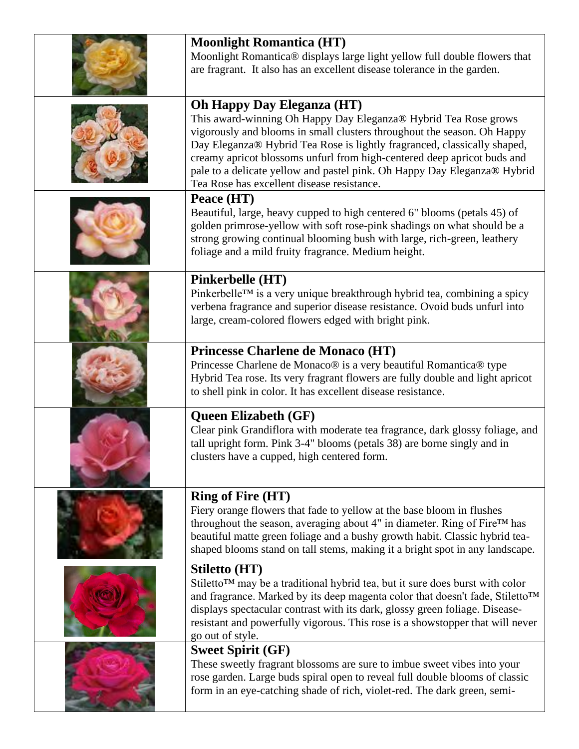| <b>Moonlight Romantica (HT)</b><br>Moonlight Romantica® displays large light yellow full double flowers that<br>are fragrant. It also has an excellent disease tolerance in the garden.                                                                                                                                                                                                                                                                          |
|------------------------------------------------------------------------------------------------------------------------------------------------------------------------------------------------------------------------------------------------------------------------------------------------------------------------------------------------------------------------------------------------------------------------------------------------------------------|
| <b>Oh Happy Day Eleganza (HT)</b><br>This award-winning Oh Happy Day Eleganza® Hybrid Tea Rose grows<br>vigorously and blooms in small clusters throughout the season. Oh Happy<br>Day Eleganza® Hybrid Tea Rose is lightly fragranced, classically shaped,<br>creamy apricot blossoms unfurl from high-centered deep apricot buds and<br>pale to a delicate yellow and pastel pink. Oh Happy Day Eleganza® Hybrid<br>Tea Rose has excellent disease resistance. |
| Peace (HT)<br>Beautiful, large, heavy cupped to high centered 6" blooms (petals 45) of<br>golden primrose-yellow with soft rose-pink shadings on what should be a<br>strong growing continual blooming bush with large, rich-green, leathery<br>foliage and a mild fruity fragrance. Medium height.                                                                                                                                                              |
| Pinkerbelle (HT)<br>Pinkerbelle™ is a very unique breakthrough hybrid tea, combining a spicy<br>verbena fragrance and superior disease resistance. Ovoid buds unfurl into<br>large, cream-colored flowers edged with bright pink.                                                                                                                                                                                                                                |
| Princesse Charlene de Monaco (HT)<br>Princesse Charlene de Monaco® is a very beautiful Romantica® type<br>Hybrid Tea rose. Its very fragrant flowers are fully double and light apricot<br>to shell pink in color. It has excellent disease resistance.                                                                                                                                                                                                          |
| <b>Queen Elizabeth (GF)</b><br>Clear pink Grandiflora with moderate tea fragrance, dark glossy foliage, and<br>tall upright form. Pink 3-4" blooms (petals 38) are borne singly and in<br>clusters have a cupped, high centered form.                                                                                                                                                                                                                            |
| <b>Ring of Fire (HT)</b><br>Fiery orange flowers that fade to yellow at the base bloom in flushes<br>throughout the season, averaging about 4" in diameter. Ring of Fire™ has<br>beautiful matte green foliage and a bushy growth habit. Classic hybrid tea-<br>shaped blooms stand on tall stems, making it a bright spot in any landscape.                                                                                                                     |
| Stiletto (HT)<br>Stiletto™ may be a traditional hybrid tea, but it sure does burst with color<br>and fragrance. Marked by its deep magenta color that doesn't fade, Stiletto™<br>displays spectacular contrast with its dark, glossy green foliage. Disease-<br>resistant and powerfully vigorous. This rose is a showstopper that will never<br>go out of style.                                                                                                |
| <b>Sweet Spirit (GF)</b><br>These sweetly fragrant blossoms are sure to imbue sweet vibes into your<br>rose garden. Large buds spiral open to reveal full double blooms of classic<br>form in an eye-catching shade of rich, violet-red. The dark green, semi-                                                                                                                                                                                                   |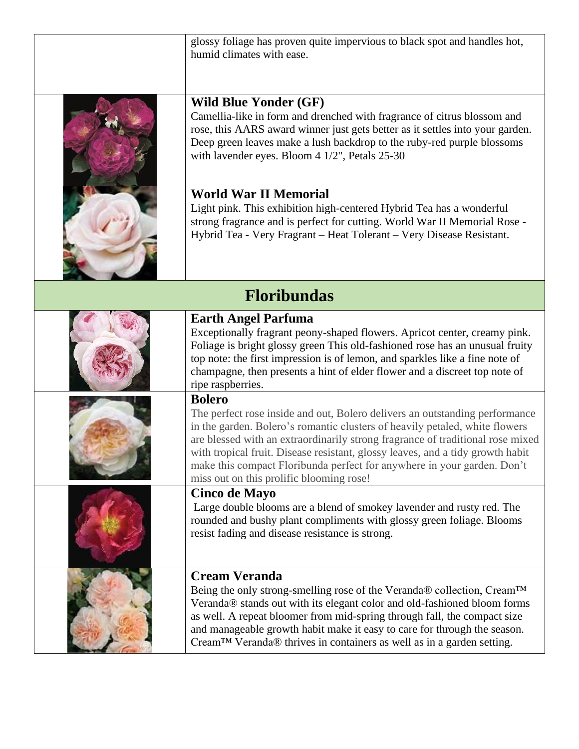|                    | glossy foliage has proven quite impervious to black spot and handles hot,<br>humid climates with ease.                                                                                                                                                                                                                                                                                                                                                                 |
|--------------------|------------------------------------------------------------------------------------------------------------------------------------------------------------------------------------------------------------------------------------------------------------------------------------------------------------------------------------------------------------------------------------------------------------------------------------------------------------------------|
|                    | <b>Wild Blue Yonder (GF)</b><br>Camellia-like in form and drenched with fragrance of citrus blossom and<br>rose, this AARS award winner just gets better as it settles into your garden.<br>Deep green leaves make a lush backdrop to the ruby-red purple blossoms<br>with lavender eyes. Bloom 4 1/2", Petals 25-30                                                                                                                                                   |
|                    | <b>World War II Memorial</b><br>Light pink. This exhibition high-centered Hybrid Tea has a wonderful<br>strong fragrance and is perfect for cutting. World War II Memorial Rose -<br>Hybrid Tea - Very Fragrant - Heat Tolerant - Very Disease Resistant.                                                                                                                                                                                                              |
| <b>Floribundas</b> |                                                                                                                                                                                                                                                                                                                                                                                                                                                                        |
|                    | <b>Earth Angel Parfuma</b><br>Exceptionally fragrant peony-shaped flowers. Apricot center, creamy pink.<br>Foliage is bright glossy green This old-fashioned rose has an unusual fruity<br>top note: the first impression is of lemon, and sparkles like a fine note of<br>champagne, then presents a hint of elder flower and a discreet top note of<br>ripe raspberries.                                                                                             |
|                    | <b>Bolero</b><br>The perfect rose inside and out, Bolero delivers an outstanding performance<br>in the garden. Bolero's romantic clusters of heavily petaled, white flowers<br>are blessed with an extraordinarily strong fragrance of traditional rose mixed<br>with tropical fruit. Disease resistant, glossy leaves, and a tidy growth habit<br>make this compact Floribunda perfect for anywhere in your garden. Don't<br>miss out on this prolific blooming rose! |
|                    | Cinco de Mayo<br>Large double blooms are a blend of smokey lavender and rusty red. The<br>rounded and bushy plant compliments with glossy green foliage. Blooms<br>resist fading and disease resistance is strong.                                                                                                                                                                                                                                                     |
|                    | <b>Cream Veranda</b><br>Being the only strong-smelling rose of the Veranda® collection, Cream™<br>Veranda® stands out with its elegant color and old-fashioned bloom forms<br>as well. A repeat bloomer from mid-spring through fall, the compact size<br>and manageable growth habit make it easy to care for through the season.<br>Cream™ Veranda® thrives in containers as well as in a garden setting.                                                            |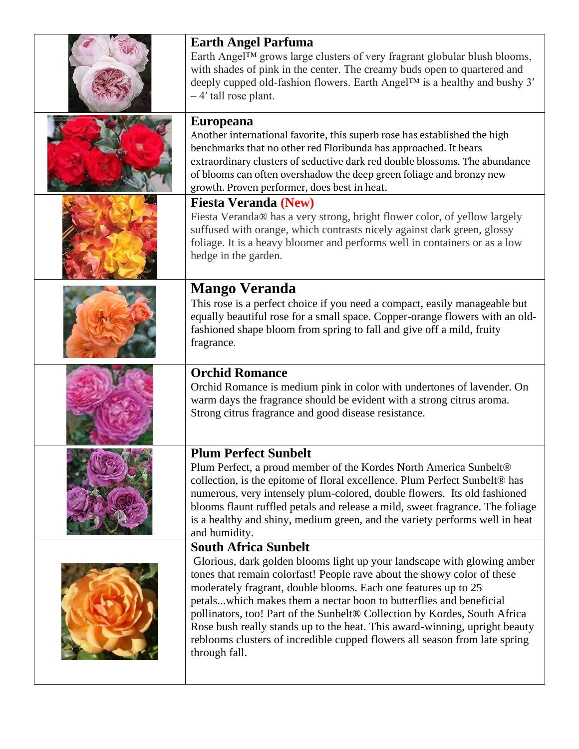| <b>Earth Angel Parfuma</b><br>Earth Angel™ grows large clusters of very fragrant globular blush blooms,<br>with shades of pink in the center. The creamy buds open to quartered and<br>deeply cupped old-fashion flowers. Earth Angel™ is a healthy and bushy 3'<br>-4' tall rose plant.                                                                                                                                                                                                                                                                                            |
|-------------------------------------------------------------------------------------------------------------------------------------------------------------------------------------------------------------------------------------------------------------------------------------------------------------------------------------------------------------------------------------------------------------------------------------------------------------------------------------------------------------------------------------------------------------------------------------|
| <b>Europeana</b><br>Another international favorite, this superb rose has established the high<br>benchmarks that no other red Floribunda has approached. It bears<br>extraordinary clusters of seductive dark red double blossoms. The abundance<br>of blooms can often overshadow the deep green foliage and bronzy new<br>growth. Proven performer, does best in heat.                                                                                                                                                                                                            |
| <b>Fiesta Veranda (New)</b><br>Fiesta Veranda® has a very strong, bright flower color, of yellow largely<br>suffused with orange, which contrasts nicely against dark green, glossy<br>foliage. It is a heavy bloomer and performs well in containers or as a low<br>hedge in the garden.                                                                                                                                                                                                                                                                                           |
| <b>Mango Veranda</b><br>This rose is a perfect choice if you need a compact, easily manageable but<br>equally beautiful rose for a small space. Copper-orange flowers with an old-<br>fashioned shape bloom from spring to fall and give off a mild, fruity<br>fragrance.                                                                                                                                                                                                                                                                                                           |
| <b>Orchid Romance</b><br>Orchid Romance is medium pink in color with undertones of lavender. On<br>warm days the fragrance should be evident with a strong citrus aroma.<br>Strong citrus fragrance and good disease resistance.                                                                                                                                                                                                                                                                                                                                                    |
| <b>Plum Perfect Sunbelt</b><br>Plum Perfect, a proud member of the Kordes North America Sunbelt <sup>®</sup><br>collection, is the epitome of floral excellence. Plum Perfect Sunbelt® has<br>numerous, very intensely plum-colored, double flowers. Its old fashioned<br>blooms flaunt ruffled petals and release a mild, sweet fragrance. The foliage<br>is a healthy and shiny, medium green, and the variety performs well in heat<br>and humidity.                                                                                                                             |
| <b>South Africa Sunbelt</b><br>Glorious, dark golden blooms light up your landscape with glowing amber<br>tones that remain colorfast! People rave about the showy color of these<br>moderately fragrant, double blooms. Each one features up to 25<br>petalswhich makes them a nectar boon to butterflies and beneficial<br>pollinators, too! Part of the Sunbelt® Collection by Kordes, South Africa<br>Rose bush really stands up to the heat. This award-winning, upright beauty<br>reblooms clusters of incredible cupped flowers all season from late spring<br>through fall. |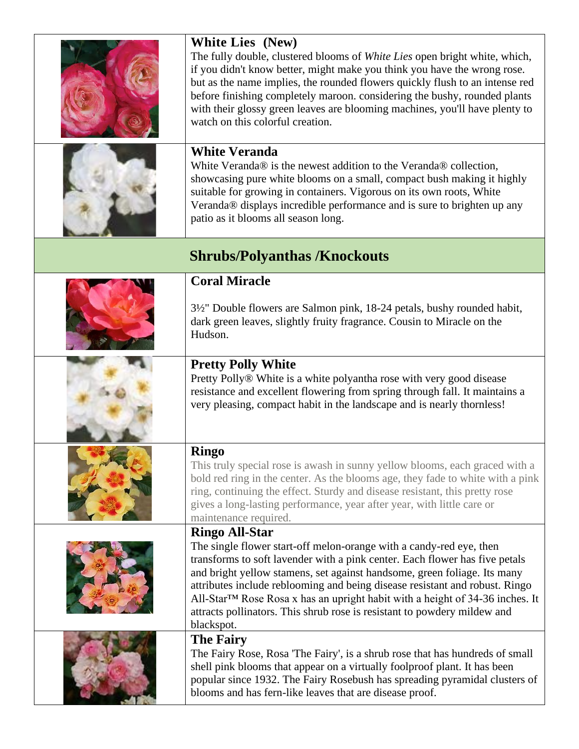|                                     | <b>White Lies (New)</b><br>The fully double, clustered blooms of White Lies open bright white, which,<br>if you didn't know better, might make you think you have the wrong rose.<br>but as the name implies, the rounded flowers quickly flush to an intense red<br>before finishing completely maroon. considering the bushy, rounded plants<br>with their glossy green leaves are blooming machines, you'll have plenty to<br>watch on this colorful creation.                                                |
|-------------------------------------|------------------------------------------------------------------------------------------------------------------------------------------------------------------------------------------------------------------------------------------------------------------------------------------------------------------------------------------------------------------------------------------------------------------------------------------------------------------------------------------------------------------|
|                                     | <b>White Veranda</b><br>White Veranda® is the newest addition to the Veranda® collection,<br>showcasing pure white blooms on a small, compact bush making it highly<br>suitable for growing in containers. Vigorous on its own roots, White<br>Veranda® displays incredible performance and is sure to brighten up any<br>patio as it blooms all season long.                                                                                                                                                    |
| <b>Shrubs/Polyanthas /Knockouts</b> |                                                                                                                                                                                                                                                                                                                                                                                                                                                                                                                  |
|                                     | <b>Coral Miracle</b><br>3½" Double flowers are Salmon pink, 18-24 petals, bushy rounded habit,<br>dark green leaves, slightly fruity fragrance. Cousin to Miracle on the<br>Hudson.                                                                                                                                                                                                                                                                                                                              |
|                                     | <b>Pretty Polly White</b><br>Pretty Polly® White is a white polyantha rose with very good disease<br>resistance and excellent flowering from spring through fall. It maintains a<br>very pleasing, compact habit in the landscape and is nearly thornless!                                                                                                                                                                                                                                                       |
|                                     | <b>Ringo</b><br>This truly special rose is awash in sunny yellow blooms, each graced with a<br>bold red ring in the center. As the blooms age, they fade to white with a pink<br>ring, continuing the effect. Sturdy and disease resistant, this pretty rose<br>gives a long-lasting performance, year after year, with little care or<br>maintenance required.                                                                                                                                                  |
|                                     | <b>Ringo All-Star</b><br>The single flower start-off melon-orange with a candy-red eye, then<br>transforms to soft lavender with a pink center. Each flower has five petals<br>and bright yellow stamens, set against handsome, green foliage. Its many<br>attributes include reblooming and being disease resistant and robust. Ringo<br>All-Star™ Rose Rosa x has an upright habit with a height of 34-36 inches. It<br>attracts pollinators. This shrub rose is resistant to powdery mildew and<br>blackspot. |
|                                     | <b>The Fairy</b><br>The Fairy Rose, Rosa 'The Fairy', is a shrub rose that has hundreds of small<br>shell pink blooms that appear on a virtually foolproof plant. It has been<br>popular since 1932. The Fairy Rosebush has spreading pyramidal clusters of<br>blooms and has fern-like leaves that are disease proof.                                                                                                                                                                                           |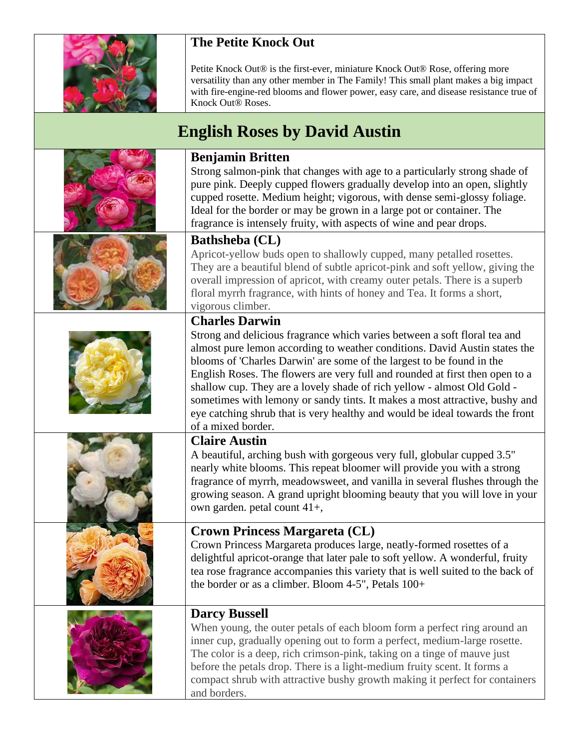

## **The Petite Knock Out**

Petite Knock Out® is the first-ever, miniature Knock Out® Rose, offering more versatility than any other member in The Family! This small plant makes a big impact with fire-engine-red blooms and flower power, easy care, and disease resistance true of Knock Out® Roses.

## **English Roses by David Austin**

## **Benjamin Britten** Strong salmon-pink that changes with age to a particularly strong shade of pure pink. Deeply cupped flowers gradually develop into an open, slightly cupped rosette. Medium height; vigorous, with dense semi-glossy foliage. Ideal for the border or may be grown in a large pot or container. The fragrance is intensely fruity, with aspects of wine and pear drops. **Bathsheba (CL)** Apricot-yellow buds open to shallowly cupped, many petalled rosettes. They are a beautiful blend of subtle apricot-pink and soft yellow, giving the overall impression of apricot, with creamy outer petals. There is a superb floral myrrh fragrance, with hints of honey and Tea. It forms a short, vigorous climber. **Charles Darwin** Strong and delicious fragrance which varies between a soft floral tea and almost pure lemon according to weather conditions. David Austin states the blooms of 'Charles Darwin' are some of the largest to be found in the English Roses. The flowers are very full and rounded at first then open to a shallow cup. They are a lovely shade of rich yellow - almost Old Gold sometimes with lemony or sandy tints. It makes a most attractive, bushy and eye catching shrub that is very healthy and would be ideal towards the front of a mixed border. **Claire Austin** A beautiful, arching bush with gorgeous very full, globular cupped 3.5" nearly white blooms. This repeat bloomer will provide you with a strong fragrance of myrrh, meadowsweet, and vanilla in several flushes through the growing season. A grand upright blooming beauty that you will love in your own garden. petal count 41+, **Crown Princess Margareta (CL)** Crown Princess Margareta produces large, neatly-formed rosettes of a delightful apricot-orange that later pale to soft yellow. A wonderful, fruity tea rose fragrance accompanies this variety that is well suited to the back of the border or as a climber. Bloom 4-5", Petals 100+ **Darcy Bussell** When young, the outer petals of each bloom form a perfect ring around an inner cup, gradually opening out to form a perfect, medium-large rosette. The color is a deep, rich crimson-pink, taking on a tinge of mauve just before the petals drop. There is a light-medium fruity scent. It forms a compact shrub with attractive bushy growth making it perfect for containers

and borders.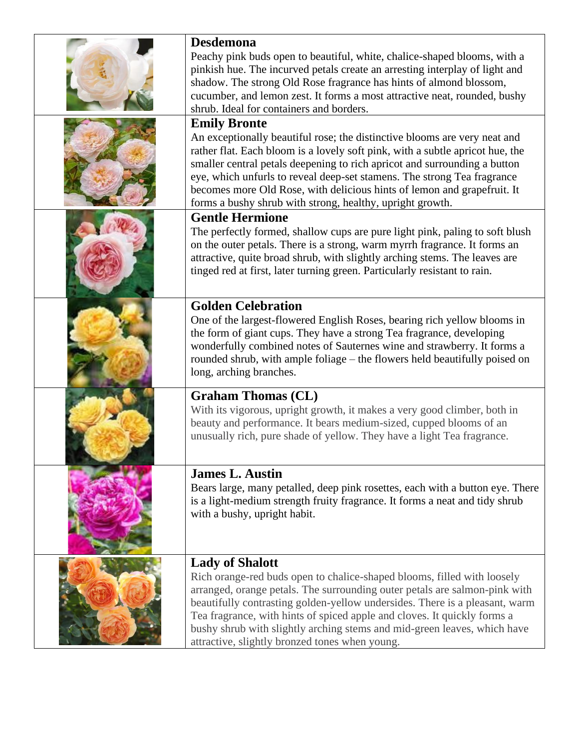| <b>Desdemona</b>                                                                                                           |
|----------------------------------------------------------------------------------------------------------------------------|
| Peachy pink buds open to beautiful, white, chalice-shaped blooms, with a                                                   |
| pinkish hue. The incurved petals create an arresting interplay of light and                                                |
| shadow. The strong Old Rose fragrance has hints of almond blossom,                                                         |
| cucumber, and lemon zest. It forms a most attractive neat, rounded, bushy                                                  |
| shrub. Ideal for containers and borders.                                                                                   |
| <b>Emily Bronte</b>                                                                                                        |
| An exceptionally beautiful rose; the distinctive blooms are very neat and                                                  |
| rather flat. Each bloom is a lovely soft pink, with a subtle apricot hue, the                                              |
| smaller central petals deepening to rich apricot and surrounding a button                                                  |
| eye, which unfurls to reveal deep-set stamens. The strong Tea fragrance                                                    |
| becomes more Old Rose, with delicious hints of lemon and grapefruit. It                                                    |
| forms a bushy shrub with strong, healthy, upright growth.                                                                  |
| <b>Gentle Hermione</b>                                                                                                     |
| The perfectly formed, shallow cups are pure light pink, paling to soft blush                                               |
| on the outer petals. There is a strong, warm myrrh fragrance. It forms an                                                  |
| attractive, quite broad shrub, with slightly arching stems. The leaves are                                                 |
| tinged red at first, later turning green. Particularly resistant to rain.                                                  |
|                                                                                                                            |
| <b>Golden Celebration</b>                                                                                                  |
| One of the largest-flowered English Roses, bearing rich yellow blooms in                                                   |
| the form of giant cups. They have a strong Tea fragrance, developing                                                       |
| wonderfully combined notes of Sauternes wine and strawberry. It forms a                                                    |
| rounded shrub, with ample foliage – the flowers held beautifully poised on                                                 |
| long, arching branches.                                                                                                    |
| <b>Graham Thomas (CL)</b>                                                                                                  |
| With its vigorous, upright growth, it makes a very good climber, both in                                                   |
| beauty and performance. It bears medium-sized, cupped blooms of an                                                         |
| unusually rich, pure shade of yellow. They have a light Tea fragrance.                                                     |
|                                                                                                                            |
| <b>James L. Austin</b>                                                                                                     |
| Bears large, many petalled, deep pink rosettes, each with a button eye. There                                              |
| is a light-medium strength fruity fragrance. It forms a neat and tidy shrub                                                |
| with a bushy, upright habit.                                                                                               |
|                                                                                                                            |
|                                                                                                                            |
|                                                                                                                            |
| <b>Lady of Shalott</b>                                                                                                     |
| Rich orange-red buds open to chalice-shaped blooms, filled with loosely                                                    |
| arranged, orange petals. The surrounding outer petals are salmon-pink with                                                 |
| beautifully contrasting golden-yellow undersides. There is a pleasant, warm                                                |
| Tea fragrance, with hints of spiced apple and cloves. It quickly forms a                                                   |
| bushy shrub with slightly arching stems and mid-green leaves, which have<br>attractive, slightly bronzed tones when young. |
|                                                                                                                            |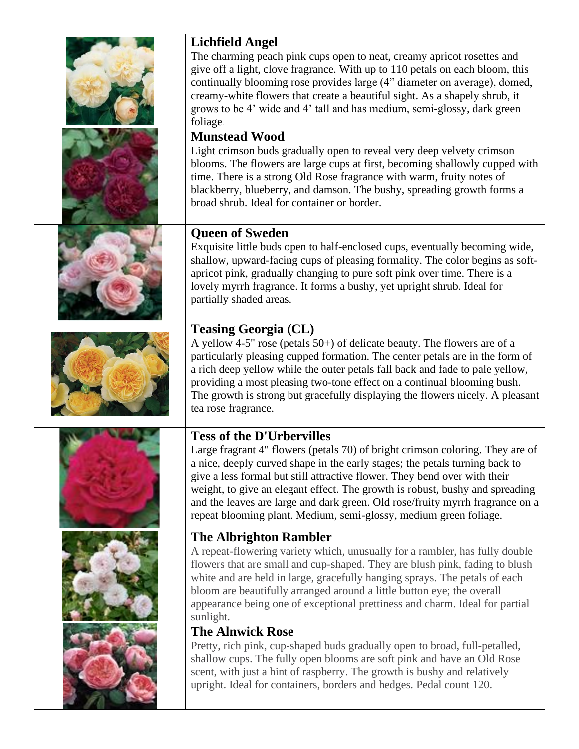| <b>Lichfield Angel</b>                                                                                                                                                                                                                                                                                                                                                                                                                                                          |
|---------------------------------------------------------------------------------------------------------------------------------------------------------------------------------------------------------------------------------------------------------------------------------------------------------------------------------------------------------------------------------------------------------------------------------------------------------------------------------|
| The charming peach pink cups open to neat, creamy apricot rosettes and<br>give off a light, clove fragrance. With up to 110 petals on each bloom, this<br>continually blooming rose provides large (4" diameter on average), domed,<br>creamy-white flowers that create a beautiful sight. As a shapely shrub, it<br>grows to be 4' wide and 4' tall and has medium, semi-glossy, dark green<br>foliage.                                                                        |
| <b>Munstead Wood</b>                                                                                                                                                                                                                                                                                                                                                                                                                                                            |
| Light crimson buds gradually open to reveal very deep velvety crimson<br>blooms. The flowers are large cups at first, becoming shallowly cupped with<br>time. There is a strong Old Rose fragrance with warm, fruity notes of<br>blackberry, blueberry, and damson. The bushy, spreading growth forms a<br>broad shrub. Ideal for container or border.                                                                                                                          |
| <b>Queen of Sweden</b>                                                                                                                                                                                                                                                                                                                                                                                                                                                          |
| Exquisite little buds open to half-enclosed cups, eventually becoming wide,<br>shallow, upward-facing cups of pleasing formality. The color begins as soft-<br>apricot pink, gradually changing to pure soft pink over time. There is a<br>lovely myrrh fragrance. It forms a bushy, yet upright shrub. Ideal for<br>partially shaded areas.                                                                                                                                    |
| <b>Teasing Georgia (CL)</b>                                                                                                                                                                                                                                                                                                                                                                                                                                                     |
| A yellow 4-5" rose (petals $50+$ ) of delicate beauty. The flowers are of a<br>particularly pleasing cupped formation. The center petals are in the form of<br>a rich deep yellow while the outer petals fall back and fade to pale yellow,<br>providing a most pleasing two-tone effect on a continual blooming bush.<br>The growth is strong but gracefully displaying the flowers nicely. A pleasant<br>tea rose fragrance.                                                  |
| <b>Tess of the D'Urbervilles</b>                                                                                                                                                                                                                                                                                                                                                                                                                                                |
| Large fragrant 4" flowers (petals 70) of bright crimson coloring. They are of<br>a nice, deeply curved shape in the early stages; the petals turning back to<br>give a less formal but still attractive flower. They bend over with their<br>weight, to give an elegant effect. The growth is robust, bushy and spreading<br>and the leaves are large and dark green. Old rose/fruity myrrh fragrance on a<br>repeat blooming plant. Medium, semi-glossy, medium green foliage. |
| <b>The Albrighton Rambler</b>                                                                                                                                                                                                                                                                                                                                                                                                                                                   |
| A repeat-flowering variety which, unusually for a rambler, has fully double<br>flowers that are small and cup-shaped. They are blush pink, fading to blush<br>white and are held in large, gracefully hanging sprays. The petals of each<br>bloom are beautifully arranged around a little button eye; the overall<br>appearance being one of exceptional prettiness and charm. Ideal for partial<br>sunlight.                                                                  |
| <b>The Alnwick Rose</b>                                                                                                                                                                                                                                                                                                                                                                                                                                                         |
| Pretty, rich pink, cup-shaped buds gradually open to broad, full-petalled,<br>shallow cups. The fully open blooms are soft pink and have an Old Rose<br>scent, with just a hint of raspberry. The growth is bushy and relatively<br>upright. Ideal for containers, borders and hedges. Pedal count 120.                                                                                                                                                                         |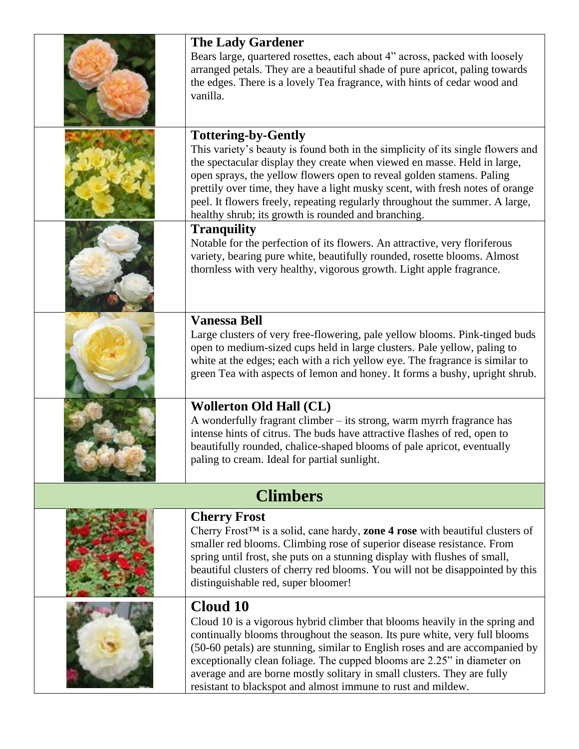| <b>The Lady Gardener</b><br>Bears large, quartered rosettes, each about 4" across, packed with loosely                                                                                                                                                                                                                                                                    |  |
|---------------------------------------------------------------------------------------------------------------------------------------------------------------------------------------------------------------------------------------------------------------------------------------------------------------------------------------------------------------------------|--|
| arranged petals. They are a beautiful shade of pure apricot, paling towards<br>the edges. There is a lovely Tea fragrance, with hints of cedar wood and<br>vanilla.                                                                                                                                                                                                       |  |
| <b>Tottering-by-Gently</b><br>This variety's beauty is found both in the simplicity of its single flowers and                                                                                                                                                                                                                                                             |  |
| the spectacular display they create when viewed en masse. Held in large,<br>open sprays, the yellow flowers open to reveal golden stamens. Paling<br>prettily over time, they have a light musky scent, with fresh notes of orange<br>peel. It flowers freely, repeating regularly throughout the summer. A large,<br>healthy shrub; its growth is rounded and branching. |  |
| <b>Tranquility</b><br>Notable for the perfection of its flowers. An attractive, very floriferous<br>variety, bearing pure white, beautifully rounded, rosette blooms. Almost<br>thornless with very healthy, vigorous growth. Light apple fragrance.                                                                                                                      |  |
| <b>Vanessa Bell</b>                                                                                                                                                                                                                                                                                                                                                       |  |
| Large clusters of very free-flowering, pale yellow blooms. Pink-tinged buds<br>open to medium-sized cups held in large clusters. Pale yellow, paling to                                                                                                                                                                                                                   |  |
| white at the edges; each with a rich yellow eye. The fragrance is similar to<br>green Tea with aspects of lemon and honey. It forms a bushy, upright shrub.                                                                                                                                                                                                               |  |
| <b>Wollerton Old Hall (CL)</b>                                                                                                                                                                                                                                                                                                                                            |  |
| A wonderfully fragrant climber – its strong, warm myrrh fragrance has<br>intense hints of citrus. The buds have attractive flashes of red, open to<br>beautifully rounded, chalice-shaped blooms of pale apricot, eventually<br>paling to cream. Ideal for partial sunlight.                                                                                              |  |
| <b>Climbers</b>                                                                                                                                                                                                                                                                                                                                                           |  |
| <b>Cherry Frost</b>                                                                                                                                                                                                                                                                                                                                                       |  |
| Cherry Frost <sup>TM</sup> is a solid, cane hardy, <b>zone 4 rose</b> with beautiful clusters of<br>smaller red blooms. Climbing rose of superior disease resistance. From                                                                                                                                                                                                |  |
| spring until frost, she puts on a stunning display with flushes of small,                                                                                                                                                                                                                                                                                                 |  |
| beautiful clusters of cherry red blooms. You will not be disappointed by this<br>distinguishable red, super bloomer!                                                                                                                                                                                                                                                      |  |
| Cloud 10                                                                                                                                                                                                                                                                                                                                                                  |  |
| Cloud 10 is a vigorous hybrid climber that blooms heavily in the spring and<br>continually blooms throughout the season. Its pure white, very full blooms                                                                                                                                                                                                                 |  |
| (50-60 petals) are stunning, similar to English roses and are accompanied by                                                                                                                                                                                                                                                                                              |  |
| exceptionally clean foliage. The cupped blooms are 2.25" in diameter on<br>average and are borne mostly solitary in small clusters. They are fully                                                                                                                                                                                                                        |  |
| resistant to blackspot and almost immune to rust and mildew.                                                                                                                                                                                                                                                                                                              |  |